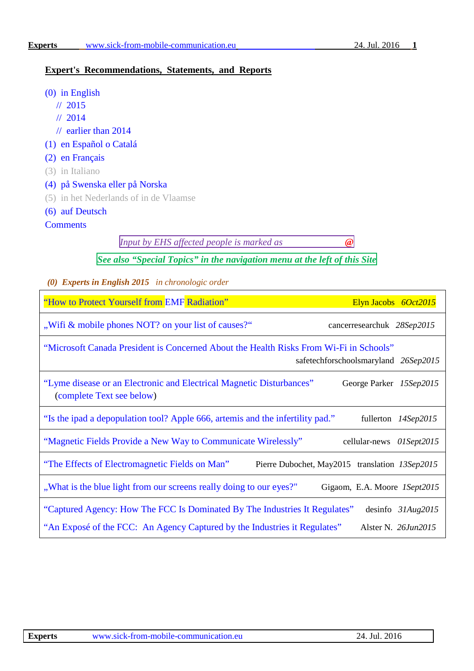## **Expert's Recommendations, Statements, and Reports**

- [\(0\) in English](#page-0-0)
	- [// 2015](#page-0-0)
	- [// 2014](#page-3-0)
	- [// earlier than 2014](#page-3-1)
- [\(1\) en Español o Catalá](#page-4-0)
- [\(2\) en Français](#page-5-0)
- [\(3\) in Italiano](#page-5-1)
- [\(4\) på Swenska eller på Norska](#page-5-2)
- (5) in het Nederlands of in de Vlaamse
- [\(6\) auf Deutsch](#page-5-3)
- **[Comments](#page-7-0)**

*Input by EHS affected people is marked as* **@**

*See also "Special Topics" in the navigation menu at the left of this Site* 

<span id="page-0-0"></span>*(0) Experts in English 2015 in chronologic order*

| "How to Protect Yourself from EMF Radiation"<br>Elyn Jacobs 6Oct2015                                                                                                                                  |
|-------------------------------------------------------------------------------------------------------------------------------------------------------------------------------------------------------|
| "Wifi & mobile phones NOT? on your list of causes?"<br>cancerresearchuk 28Sep2015                                                                                                                     |
| "Microsoft Canada President is Concerned About the Health Risks From Wi-Fi in Schools"<br>safetechforschoolsmaryland 26Sep2015                                                                        |
| "Lyme disease or an Electronic and Electrical Magnetic Disturbances"<br>George Parker 15Sep2015<br>(complete Text see below)                                                                          |
| "Is the ipad a depopulation tool? Apple 666, artemis and the infertility pad."<br>fullerton 14Sep2015                                                                                                 |
| "Magnetic Fields Provide a New Way to Communicate Wirelessly"<br>cellular-news 01Sept2015                                                                                                             |
| "The Effects of Electromagnetic Fields on Man"<br>Pierre Dubochet, May2015 translation 13Sep2015                                                                                                      |
| "What is the blue light from our screens really doing to our eyes?"<br>Gigaom, E.A. Moore 1Sept2015                                                                                                   |
| "Captured Agency: How The FCC Is Dominated By The Industries It Regulates"<br>desinfo $31Aug2015$<br>"An Expose of the FCC: An Agency Captured by the Industries it Regulates"<br>Alster N. 26Jun2015 |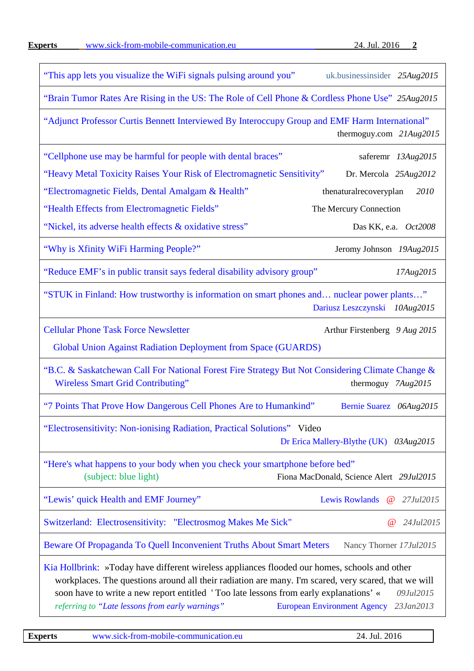| "This app lets you visualize the WiFi signals pulsing around you"<br>uk.businessinsider $25Aug2015$                                                                                                                                                                                                         |  |  |
|-------------------------------------------------------------------------------------------------------------------------------------------------------------------------------------------------------------------------------------------------------------------------------------------------------------|--|--|
| "Brain Tumor Rates Are Rising in the US: The Role of Cell Phone & Cordless Phone Use" 25Aug2015                                                                                                                                                                                                             |  |  |
| "Adjunct Professor Curtis Bennett Interviewed By Interoccupy Group and EMF Harm International"<br>thermoguy.com 21Aug2015                                                                                                                                                                                   |  |  |
| "Cellphone use may be harmful for people with dental braces"<br>saferemr 13Aug2015                                                                                                                                                                                                                          |  |  |
| "Heavy Metal Toxicity Raises Your Risk of Electromagnetic Sensitivity"<br>Dr. Mercola 25Aug2012                                                                                                                                                                                                             |  |  |
| "Electromagnetic Fields, Dental Amalgam & Health"<br>thenaturalrecoveryplan<br>2010                                                                                                                                                                                                                         |  |  |
| "Health Effects from Electromagnetic Fields"<br>The Mercury Connection                                                                                                                                                                                                                                      |  |  |
| "Nickel, its adverse health effects & oxidative stress"<br>Das KK, e.a. $Oct2008$                                                                                                                                                                                                                           |  |  |
| "Why is Xfinity WiFi Harming People?"<br>Jeromy Johnson 19Aug2015                                                                                                                                                                                                                                           |  |  |
| "Reduce EMF's in public transit says federal disability advisory group"<br>17Aug2015                                                                                                                                                                                                                        |  |  |
| "STUK in Finland: How trustworthy is information on smart phones and nuclear power plants"<br>Dariusz Leszczynski 10Aug2015                                                                                                                                                                                 |  |  |
| <b>Cellular Phone Task Force Newsletter</b><br>Arthur Firstenberg 9 Aug 2015                                                                                                                                                                                                                                |  |  |
| Global Union Against Radiation Deployment from Space (GUARDS)                                                                                                                                                                                                                                               |  |  |
| "B.C. & Saskatchewan Call For National Forest Fire Strategy But Not Considering Climate Change &<br><b>Wireless Smart Grid Contributing"</b><br>thermoguy 7Aug2015                                                                                                                                          |  |  |
| "7 Points That Prove How Dangerous Cell Phones Are to Humankind"<br>Bernie Suarez 06Aug2015                                                                                                                                                                                                                 |  |  |
| "Electrosensitivity: Non-ionising Radiation, Practical Solutions" Video<br>Dr Erica Mallery-Blythe (UK) 03Aug2015                                                                                                                                                                                           |  |  |
| "Here's what happens to your body when you check your smartphone before bed"<br>(subject: blue light)<br>Fiona MacDonald, Science Alert 29Jul2015                                                                                                                                                           |  |  |
| "Lewis' quick Health and EMF Journey"<br><b>Lewis Rowlands</b><br>$\omega$<br>27Jul2015                                                                                                                                                                                                                     |  |  |
| Switzerland: Electrosensitivity: "Electrosmog Makes Me Sick"<br>$\omega$<br>24Jul2015                                                                                                                                                                                                                       |  |  |
| Beware Of Propaganda To Quell Inconvenient Truths About Smart Meters<br>Nancy Thorner 17Jul2015                                                                                                                                                                                                             |  |  |
| Kia Hollbrink: »Today have different wireless appliances flooded our homes, schools and other<br>workplaces. The questions around all their radiation are many. I'm scared, very scared, that we will<br>soon have to write a new report entitled 'Too late lessons from early explanations' «<br>09Jul2015 |  |  |

*referring to "Late lessons from early warnings"* [European Environment Agency](http://www.eea.europa.eu/) 23Jan2013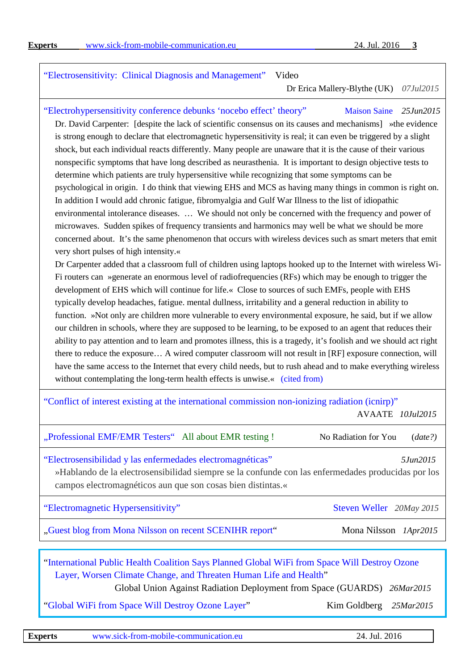["Electrosensitivity: Clinical Diagnosis and Management"](https://www.youtube.com/watch?v=P5Bv5ZPHAGE) Video Dr Erica Mallery-Blythe (UK) *07Jul2015* ["Electrohypersensitivity conference debunks 'nocebo effect' theory"](https://maisonsaine.ca/english/electrohypersensitivity-conference-debunks-nocebo-effect-theory.html) [Maison Saine](https://maisonsaine.ca/english/) *25Jun2015* Dr. David Carpenter: [despite the lack of scientific consensus on its causes and mechanisms] »the evidence is strong enough to declare that electromagnetic hypersensitivity is real; it can even be triggered by a slight shock, but each individual reacts differently. Many people are unaware that it is the cause of their various nonspecific symptoms that have long described as neurasthenia. It is important to design objective tests to determine which patients are truly hypersensitive while recognizing that some symptoms can be psychological in origin. I do think that viewing EHS and MCS as having many things in common is right on. In addition I would add chronic fatigue, fibromyalgia and Gulf War Illness to the list of idiopathic environmental intolerance diseases. … We should not only be concerned with the frequency and power of microwaves. Sudden spikes of frequency transients and harmonics may well be what we should be more concerned about. It's the same phenomenon that occurs with wireless devices such as smart meters that emit very short pulses of high intensity.« Dr Carpenter added that a classroom full of children using laptops hooked up to the Internet with wireless Wi-Fi routers can »generate an enormous level of radiofrequencies (RFs) which may be enough to trigger the development of EHS which will continue for life.« Close to sources of such EMFs, people with EHS typically develop headaches, fatigue. mental dullness, irritability and a general reduction in ability to function. »Not only are children more vulnerable to every environmental exposure, he said, but if we allow our children in schools, where they are supposed to be learning, to be exposed to an agent that reduces their ability to pay attention and to learn and promotes illness, this is a tragedy, it's foolish and we should act right there to reduce the exposure… A wired computer classroom will not result in [RF] exposure connection, will have the same access to the Internet that every child needs, but to rush ahead and to make everything wireless without contemplating the long-term health effects is unwise.« [\(cited from\)](https://maisonsaine.ca/english/electrohypersensitivity-conference-debunks-nocebo-effect-theory.html) ["Conflict of interest existing at the international commission non-ionizing radiation \(icnirp\)"](http://www.avaate.org/spip.php?article2624) AVAATE *10Jul2015* ["Professional EMF/EMR Testers"](http://www.norad4u.com/monitor/professional-measurement#TOC-Radiation-measurement-and-life-in-the-real-world.-) All about EMR testing ! No Radiation for You (*date?)* ["Electrosensibilidad y las enfermedades electromagnéticas"](http://blog.bioelectrica.es/electrosensibilidad-y-las-enfermedades-electromagneticas/) *5Jun2015* »Hablando de la electrosensibilidad siempre se la confunde con las enfermedades producidas por los campos electromagnéticos aun que son cosas bien distintas.« ["Electromagnetic Hypersensitivity"](https://docs.google.com/viewer?a=v&pid=forums&srcid=MDgxODkwOTk5NjU5OTU4ODQwNTYBMDc2MDk2NDM3Mjk5NzY3NTE4NTIBa1p4QzQzbVBBX2NKATAuMQEBdjI) Steven Weller *20May 2015* ["Guest blog from Mona Nilsson on recent SCENIHR report"](https://betweenrockandhardplace.wordpress.com/2015/04/01/guest-blog-from-mona-nilsson-on-recent-scenihr-report/) Mona Nilsson *1Apr2015*

["International Public Health Coalition Says Planned Global WiFi from Space Will Destroy Ozone](http://memoryholeblog.com/2015/03/27/tech-giants-poised-to-bath-earth-in-microwave-radiation/comment-page-1/)  [Layer, Worsen Climate Change, and Threaten Human Life and Health"](http://memoryholeblog.com/2015/03/27/tech-giants-poised-to-bath-earth-in-microwave-radiation/comment-page-1/)

Global Union Against Radiation Deployment from Space (GUARDS) *26Mar2015*

["Global WiFi from Space Will Destroy Ozone Layer"](http://electroplague.com/2015/03/25/global-wifi-from-space-will-destroy-ozone-layer/) Kim Goldberg 25Mar2015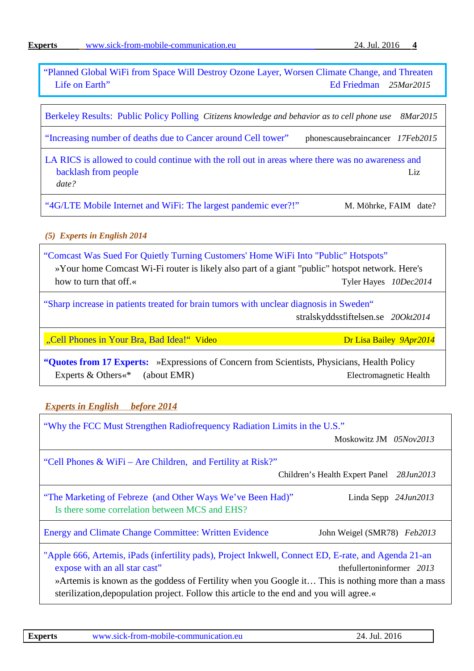**Experts** [www.sick-from-mobile-communication.eu](http://www.sick-from-mobile-communication.eu/) 24. Jul. 2016 **4** 

["Planned Global WiFi from Space Will Destroy Ozone Layer, Worsen Climate Change, and Threaten](http://emrabc.ca/?p=6010)  [Life on Earth"](http://emrabc.ca/?p=6010) [Ed Friedman](http://smartmeterradiationprotection.com/my-home-is-my-castle-ed-friedman-vs-smart-meter/) *25Mar2015*

[Berkeley Results: Public Policy Polling](http://www.publicpolicypolling.com/pdf/2015/BerkeleyResults.pdf) *Citizens knowledge and behavior as to cell phone use 8Mar2015*

["Increasing number of deaths due](http://www.phonescausebraincancer.com/increasing-number-of-deaths-due-to-cancer-around-cell-tower/) to Cancer around Cell tower" phonescausebraincancer *17Feb2015*

[LA RICS is allowed to could continue with the roll out in areas where there was no awareness and](http://myemail.constantcontact.com/CBS-News-and-Cell-Towers-to-be-Installed-Where-People-Don-t-Know-About-Them-.html?soid=1112794338317&aid=NaPnjgXBLD0)  **backlash from people** Liz *date?*

["4G/LTE Mobile Internet and WiFi: The largest pandemic ever?!"](http://www.faim.org/wifisafety/4g-lte-mobile-internet-wifi-largest-pandemic-ever.html) M. Möhrke, FAIM date?

#### <span id="page-3-0"></span>*(5) Experts in English 2014*

"Comcast Was Sued For Quietly Turning [Customers' Home WiFi Into "Public" Hotspots"](http://www.fastcompany.com/3039682/comcast-was-sued-for-quietly-making-your-homes-internet-part-of-the-sharing-economy) »Your home Comcast Wi-Fi router is likely also part of a giant "public" hotspot network. Here's how to turn that off.« Tyler Hayes 10Dec2014

["Sharp increase in patients treated for brain tumors with unclear diagnosis in Sweden"](http://www.stralskyddsstiftelsen.se/2014/10/increase-brain-tumors/?hc_location=ufi) stralskyddsstiftelsen.se *20Okt2014*

["Cell Phones in Your Bra, Bad Idea!"](https://www.youtube.com/watch?v=IS8_OIEKVnk&index=4&list=PLT6DbkXhTGoC1L0mThY9tH3DYAMhSswMl) Video Dr Lisa Bailey *9Apr2014*

**["Quotes from 17 Experts:](http://electromagnetichealth.org/quotes-from-experts/)** »Expressions of Concern from Scientists, Physicians, Health Policy Experts & Others<sup>«\*</sup> (about EMR) Electromagnetic Health

## <span id="page-3-1"></span>*Experts in English before 2014*

| "Why the FCC Must Strengthen Radiofrequency Radiation Limits in the U.S."                                    |                                             |  |
|--------------------------------------------------------------------------------------------------------------|---------------------------------------------|--|
|                                                                                                              | Moskowitz JM 05Nov2013                      |  |
| "Cell Phones & WiFi – Are Children, and Fertility at Risk?"                                                  | Children's Health Expert Panel<br>28Jun2013 |  |
| "The Marketing of Febreze (and Other Ways We've Been Had)"<br>Is there some correlation between MCS and EHS? | Linda Sepp 24Jun2013                        |  |
| <b>Energy and Climate Change Committee: Written Evidence</b>                                                 | John Weigel (SMR78) Feb2013                 |  |
| "Apple 666, Artemis, iPads (infertility pads), Project Inkwell, Connect ED, E-rate, and Agenda 21-an         |                                             |  |
| expose with an all star cast"                                                                                | the fuller toninformer $2013$               |  |
| »Artemis is known as the goddess of Fertility when you Google it This is nothing more than a mass            |                                             |  |
| sterilization, depopulation project. Follow this article to the end and you will agree.                      |                                             |  |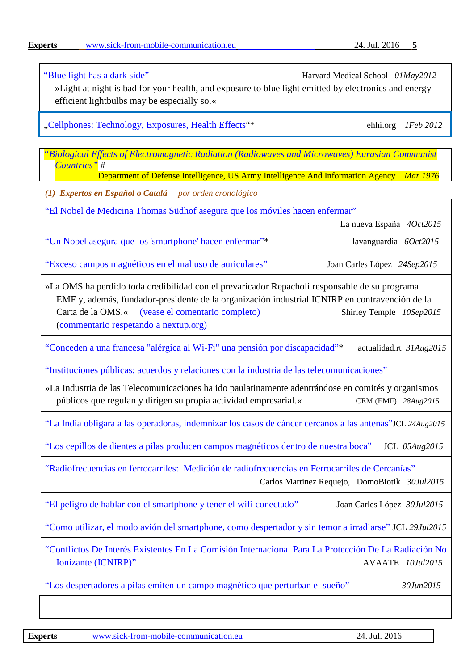["Blue light has a dark side" H](http://www.health.harvard.edu/staying-healthy/blue-light-has-a-dark-side)arvard Medical School 01May2012

»Light at night is bad for your health, and exposure to blue light emitted by electronics and energyefficient lightbulbs may be especially so.«

["Cellphones: Technology,](http://www.ehhi.org/reports/cellphones/cell_phone_report_EHHI_Feb2012.pdf) Exposures, Health Effects"\* ehhi.org *1Feb 2012*

*["Biological Effects of Electromagnetic Radiation \(Radiowaves and Microwaves\) Eurasian Communist](http://www.magdahavas.com/wordpress/wp-content/uploads/2011/02/BIOLOGICAL_EFFECTS_OF_ELECTROMAGNETIC_RADIATION-RADIOWAVES_AND_MICROWAVES-EURASIAN_COMMUNIST_COUNTRIES.pdf)  [Countries"](http://www.magdahavas.com/wordpress/wp-content/uploads/2011/02/BIOLOGICAL_EFFECTS_OF_ELECTROMAGNETIC_RADIATION-RADIOWAVES_AND_MICROWAVES-EURASIAN_COMMUNIST_COUNTRIES.pdf)* #

Department of Defense Intelligence, US Army Intelligence And Information Agency *Mar 1976* 

<span id="page-4-0"></span>*(1) Expertos en Español o Catalá por orden cronológico*

| "El Nobel de Medicina Thomas Südhof asegura que los móviles hacen enfermar"                                                                                                                                                                                                                     | La nueva España 40ct2015    |  |
|-------------------------------------------------------------------------------------------------------------------------------------------------------------------------------------------------------------------------------------------------------------------------------------------------|-----------------------------|--|
| "Un Nobel asegura que los 'smartphone' hacen enfermar"*                                                                                                                                                                                                                                         | lavanguardia 6Oct2015       |  |
| "Exceso campos magnéticos en el mal uso de auriculares"                                                                                                                                                                                                                                         | Joan Carles López 24Sep2015 |  |
| »La OMS ha perdido toda credibilidad con el prevaricador Repacholi responsable de su programa<br>EMF y, además, fundador-presidente de la organización industrial ICNIRP en contravención de la<br>Carta de la OMS.«<br>(vease el comentario completo)<br>(commentario respetando a nextup.org) | Shirley Temple 10Sep2015    |  |
| "Conceden a una francesa "alérgica al Wi-Fi" una pensión por discapacidad"*                                                                                                                                                                                                                     | actualidad.rt 31Aug2015     |  |
| "Instituciones públicas: acuerdos y relaciones con la industria de las telecomunicaciones"<br>»La Industria de las Telecomunicaciones ha ido paulatinamente adentrándose en comités y organismos<br>públicos que regulan y dirigen su propia actividad empresarial.«                            | CEM (EMF) 28Aug2015         |  |
| "La India obligara a las operadoras, indemnizar los casos de cáncer cercanos a las antenas"JCL 24Aug2015                                                                                                                                                                                        |                             |  |
| "Los cepillos de dientes a pilas producen campos magnéticos dentro de nuestra boca"<br>JCL 05Aug2015                                                                                                                                                                                            |                             |  |
| "Radiofrecuencias en ferrocarriles: Medición de radiofrecuencias en Ferrocarriles de Cercanías"<br>Carlos Martinez Requejo, DomoBiotik 30Jul2015                                                                                                                                                |                             |  |
| "El peligro de hablar con el smartphone y tener el wifi conectado"                                                                                                                                                                                                                              | Joan Carles López 30Jul2015 |  |
| "Como utilizar, el modo avión del smartphone, como despertador y sin temor a irradiarse" JCL 29Jul2015                                                                                                                                                                                          |                             |  |
| "Conflictos De Interés Existentes En La Comisión Internacional Para La Protección De La Radiación No<br>Ionizante (ICNIRP)"<br>AVAATE 10Jul2015                                                                                                                                                 |                             |  |
| "Los despertadores a pilas emiten un campo magnético que perturban el sueño"                                                                                                                                                                                                                    | 30Jun2015                   |  |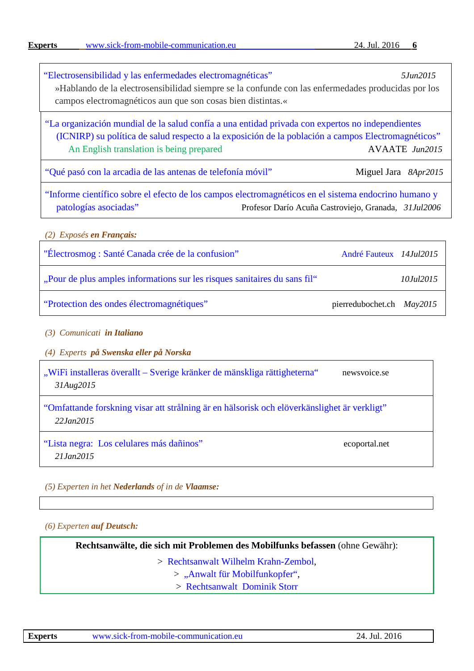**Experts** [www.sick-from-mobile-communication.eu](http://www.sick-from-mobile-communication.eu/) 24. Jul. 2016 **6** 

["Electrosensibilidad y las enfermedades electromagnéticas"](http://blog.bioelectrica.es/electrosensibilidad-y-las-enfermedades-electromagneticas/) *5Jun2015* »Hablando de la electrosensibilidad siempre se la confunde con las enfermedades producidas por los campos electromagnéticos aun que son cosas bien distintas.«

"La organización mundial de la salud confía a una entidad privada con expertos no independientes (ICNIRP) su política de salud respecto a la exposición de la población a campos Electromagnéticos" An English translation is being prepared **AVAATE** *Jun2015* 

["Qué pasó con la arcadia de las antenas de telefonía móvil"](http://www.migueljara.com/2015/04/08/que-paso-con-la-arcadia-de-las-antenas-de-telefonia-movil/) [Miguel Jara](http://www.migueljara.com/author/miguel-jara/) *8Apr2015* 

"Informe científico sobre el [efecto de los campos electromagnéticos en el sistema endocrino humano y](http://www.avaate.org/IMG/pdf/informe_completo_acunya.pdf)  [patologías asociadas"](http://www.avaate.org/IMG/pdf/informe_completo_acunya.pdf) Profesor Darío Acuña Castroviejo, Granada, *31Jul2006*

<span id="page-5-0"></span>*(2) Exposés en Français:*

["Électrosmog : Santé Canada crée de la confusion"](https://maisonsaine.ca/sante-et-securite/electrosmog/electrosmog-sante-canada-cree-de-la-confusion.html) [André Fauteux](https://maisonsaine.ca/auteur/infomaisonsaine-ca/) *14Jul2015*

["Pour de plus amples informations sur les risques sanitaires du sans fil"](https://vosrisques.wordpress.com/2015/07/10/pour-de-plus-amples-informations-sur-les-risques-sanitaires-du-sans-fil/) *10Jul2015*

["Protection des ondes électromagnétiques"](http://www.pierredubochet.ch/forum-securite-mai-2015.html) pierredubochet.ch *May2015*

<span id="page-5-2"></span><span id="page-5-1"></span>*(3) Comunicati in Italiano*

*(4) Experts på Swenska eller på Norska*

"WiFi installeras överallt – Sverige [kränker de mänskliga rättigheterna"](http://newsvoice.se/2015/08/31/wifi-installeras-overallt-sverige-kranker-de-manskliga-rattigheterna/) newsvoice.se *31Aug2015*

["Omfattande forskning visar att strålning är en hälsorisk och elöverkänslighet är verkligt"](http://www.stralskyddsstiftelsen.se/2015/01/omfattande-forskning-visar-att-stralning-ar-en-halsorisk-eloverkanslighet-ar-verkligt/)  *22Jan2015*

"Lista negra: Los [celulares más dañinos"](http://www.ecoportal.net/Eco-Noticias/Lista-negra-los-celulares-mas-daninos) ecoportal.net *21Jan2015*

*(5) Experten in het Nederlands of in de Vlaamse:*

<span id="page-5-3"></span>*(6) Experten auf Deutsch:*

**Rechtsanwälte, die sich mit Problemen des Mobilfunks befassen** (ohne Gewähr):

> [Rechtsanwalt Wilhelm Krahn-Zembol,](http://www.buergergrill.de/bin/bin/download/rechtsmittel/abwehrmittel.htm)

> ["Anwalt für Mobilfunkopfer",](http://www.mobilfunkopfer-anwalt.info/opferberichte/tortur-wegen-mobilem-internet.html)

> [Rechtsanwalt Dominik Storr](http://www.dominik-storr.de/)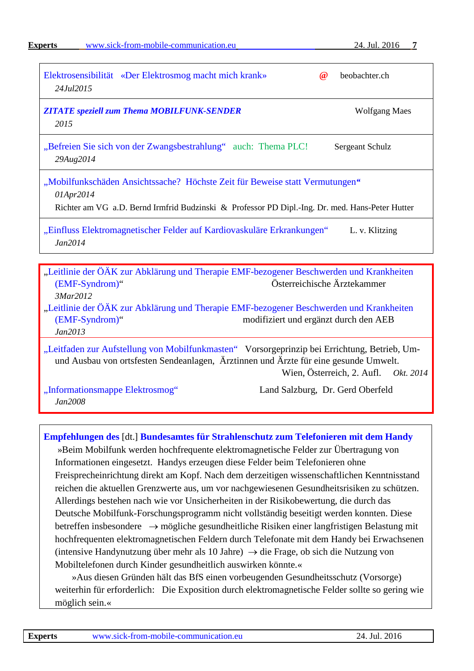| <b>Experts</b> | www.sick-from-mobile-communication.eu | 24. Jul. 2016 |
|----------------|---------------------------------------|---------------|
|----------------|---------------------------------------|---------------|

| Elektrosensibilität «Der Elektrosmog macht mich krank»<br>$\omega$<br>24Jul2015                                                                                                              | beobachter.ch        |  |
|----------------------------------------------------------------------------------------------------------------------------------------------------------------------------------------------|----------------------|--|
| <b>ZITATE speziell zum Thema MOBILFUNK-SENDER</b><br>2015                                                                                                                                    | <b>Wolfgang Maes</b> |  |
| "Befreien Sie sich von der Zwangsbestrahlung" auch: Thema PLC!<br>29Aug2014                                                                                                                  | Sergeant Schulz      |  |
| "Mobilfunkschäden Ansichtssache? Höchste Zeit für Beweise statt Vermutungen"<br>01Apr2014<br>Richter am VG a.D. Bernd Irmfrid Budzinski & Professor PD Dipl.-Ing. Dr. med. Hans-Peter Hutter |                      |  |
| "Einfluss Elektromagnetischer Felder auf Kardiovaskuläre Erkrankungen"<br>L. v. Klitzing<br>Jan2014                                                                                          |                      |  |
|                                                                                                                                                                                              |                      |  |
| "Leitlinie der ÖÄK zur Abklärung und Therapie EMF-bezogener Beschwerden und Krankheiten<br>Österreichische Ärztekammer<br>(EMF-Syndrom)"<br>3Mar2012                                         |                      |  |
| "Leitlinie der ÖÄK zur Abklärung und Therapie EMF-bezogener Beschwerden und Krankheiten<br>(EMF-Syndrom)"<br>modifiziert und ergänzt durch den AEB<br>Jan2013                                |                      |  |

["Leitfaden zur Aufstellung von Mobilfunkmasten"](http://www.diagnose-funk.org/assets/lf_senderbau_web.pdf) Vorsorgeprinzip bei Errichtung, Betrieb, Umund Ausbau von ortsfesten Sendeanlagen, Ärztinnen und Ärzte für eine gesunde Umwelt. Wien, Österreich, 2. Aufl. *Okt. 2014*

*Jan2008*

["Informationsmappe Elektrosmog"](http://www.salzburg.gv.at/infomappe-elektrosmog-2.pdf) Land Salzburg, Dr. Gerd Oberfeld

**Empfehlungen des** [dt.] **Bundesamtes [für Strahlenschutz zum Telefonieren mit dem Handy](http://www.bfs.de/de/elektro/strahlenschutz_mobilfunk/schutz/vorsorge/smartphone_tipps.html)** »Beim Mobilfunk werden hochfrequente elektromagnetische Felder zur Übertragung von Informationen eingesetzt. Handys erzeugen diese Felder beim Telefonieren ohne Freisprecheinrichtung direkt am Kopf. Nach dem derzeitigen wissenschaftlichen Kenntnisstand reichen die aktuellen Grenzwerte aus, um vor nachgewiesenen [Gesundheitsrisiken](http://www.bfs.de/de/elektro/hff/wirkungen) zu schützen. Allerdings bestehen nach wie vor Unsicherheiten in der Risikobewertung, die durch das [Deutsche Mobilfunk-Forschungsprogramm](http://www.emf-forschungsprogramm.de/) nicht vollständig beseitigt werden konnten. Diese betreffen insbesondere → mögliche gesundheitliche Risiken einer langfristigen Belastung mit hochfrequenten elektromagnetischen Feldern durch Telefonate mit dem Handy bei Erwachsenen (intensive Handynutzung über mehr als 10 Jahre)  $\rightarrow$  die Frage, ob sich die Nutzung von Mobiltelefonen durch Kinder gesundheitlich auswirken könnte.«

»Aus diesen Gründen hält das BfS einen vorbeugenden Gesundheitsschutz (Vorsorge) weiterhin für erforderlich: Die Exposition durch elektromagnetische Felder sollte so gering wie möglich sein.«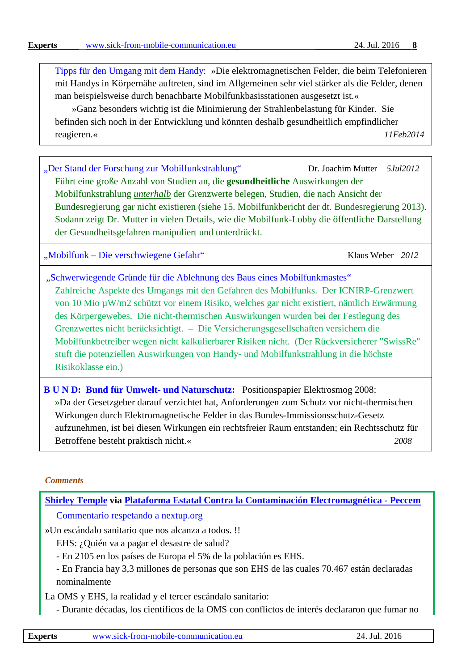**Experts** [www.sick-from-mobile-communication.eu](http://www.sick-from-mobile-communication.eu/) 24. Jul. 2016 **8**

[Tipps für den Umgang mit dem Handy:](http://www.bfs.de/de/elektro/strahlenschutz_mobilfunk/schutz/vorsorge/empfehlungen_handy.html) »Die elektromagnetischen Felder, die beim Telefonieren mit Handys in Körpernähe auftreten, sind im Allgemeinen sehr viel stärker als die Felder, denen man beispielsweise durch benachbarte Mobilfunkbasisstationen ausgesetzt ist.«

»Ganz besonders wichtig ist die Minimierung der Strahlenbelastung für Kinder. Sie befinden sich noch in der Entwicklung und könnten deshalb gesundheitlich empfindlicher reagieren.« *11Feb2014*

"Der [Stand der Forschung zur Mobilfunkstrahlung"](http://www.forum-bruneck.com/wp-content/uploads/2012/10/mutter_stand_forschung_mobilfunkstrahlung.pdf) Dr. Joachim Mutter *5Jul2012* Führt eine große Anzahl von Studien an, die **gesundheitliche** Auswirkungen der Mobilfunkstrahlung *unterhalb* der Grenzwerte belegen, Studien, die nach Ansicht der Bundesregierung gar nicht existieren (siehe 15. Mobilfunkbericht der dt. Bundesregierung 2013). Sodann zeigt Dr. Mutter in vielen Details, wie die Mobilfunk-Lobby die öffentliche Darstellung der Gesundheitsgefahren manipuliert und unterdrückt.

"Mobilfunk – [Die verschwiegene Gefahr"](http://www.gesundheitlicheaufklaerung.de/download/mobilfunk_verschwiegene_gefahr.pdf?8bea7e) Klaus Weber *2012*

["Schwerwiegende Gründe für die Ablehnung des Baus eines Mobilfunkmastes"](http://www.der-mast-muss-weg.de/pdf/downloads/SchwerwiegendeGruende_Vers02.pdf) Zahlreiche Aspekte des Umgangs mit den Gefahren des Mobilfunks. Der ICNIRP-Grenzwert von 10 Mio µW/m2 schützt vor einem Risiko, welches gar nicht existiert, nämlich Erwärmung des Körpergewebes. Die nicht-thermischen Auswirkungen wurden bei der Festlegung des Grenzwertes nicht berücksichtigt. – Die Versicherungsgesellschaften versichern die Mobilfunkbetreiber wegen nicht kalkulierbarer Risiken nicht. (Der Rückversicherer "SwissRe" stuft die potenziellen Auswirkungen von Handy- und Mobilfunkstrahlung in die höchste Risikoklasse ein.)

**[B U N D: Bund für Umwelt-](http://www.bund.net/fileadmin/bundnet/publikationen/sonstiges/20010700_sonstiges_elektrosmog_position.pdf) und Naturschutz:** Positionspapier Elektrosmog 2008: »Da der Gesetzgeber darauf verzichtet hat, Anforderungen zum Schutz vor nicht-thermischen Wirkungen durch Elektromagnetische Felder in das Bundes-Immissionsschutz-Gesetz aufzunehmen, ist bei diesen Wirkungen ein rechtsfreier Raum entstanden; ein Rechtsschutz für Betroffene besteht praktisch nicht.« *2008*

## <span id="page-7-0"></span>*Comments*

<span id="page-7-1"></span>

| <b>Shirley Temple via Plataforma Estatal Contra la Contaminación Electromagnética - Peccem</b> |
|------------------------------------------------------------------------------------------------|
| Commentario respetando a nextup.org                                                            |
| » Un escándalo sanitario que nos alcanza a todos. !!                                           |
| EHS: ¿Quién va a pagar el desastre de salud?                                                   |
| - En 2105 en los países de Europa el 5% de la población es EHS.                                |
| - En Francia hay 3,3 millones de personas que son EHS de las cuales 70.467 están declaradas    |
| nominalmente                                                                                   |

La OMS y EHS, la realidad y el tercer escándalo sanitario:

- Durante décadas, los científicos de la OMS con conflictos de interés declararon que fumar no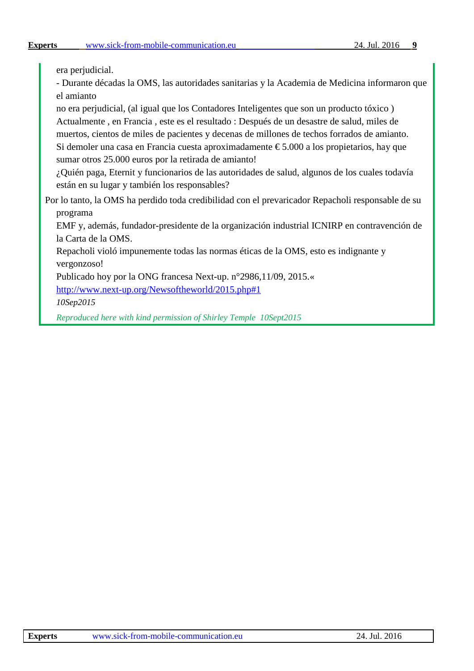era perjudicial.

- Durante décadas la OMS, las autoridades sanitarias y la Academia de Medicina informaron que el amianto

no era perjudicial, (al igual que los Contadores Inteligentes que son un producto tóxico ) Actualmente , en Francia , este es el resultado : Después de un desastre de salud, miles de muertos, cientos de miles de pacientes y decenas de millones de techos forrados de amianto. Si demoler una casa en Francia cuesta aproximadamente  $\epsilon$ 5.000 a los propietarios, hay que sumar otros 25.000 euros por la retirada de amianto!

¿Quién paga, Eternit y funcionarios de las autoridades de salud, algunos de los cuales todavía están en su lugar y también los responsables?

Por lo tanto, la OMS ha perdido toda credibilidad con el prevaricador Repacholi responsable de su programa

EMF y, además, fundador-presidente de la organización industrial ICNIRP en contravención de la Carta de la OMS.

Repacholi violó impunemente todas las normas éticas de la OMS, esto es indignante y vergonzoso!

Publicado hoy por la ONG francesa Next-up. n°2986,11/09, 2015.«

<http://www.next-up.org/Newsoftheworld/2015.php#1>

*10Sep2015*

*Reproduced here with kind permission of Shirley Temple 10Sept2015*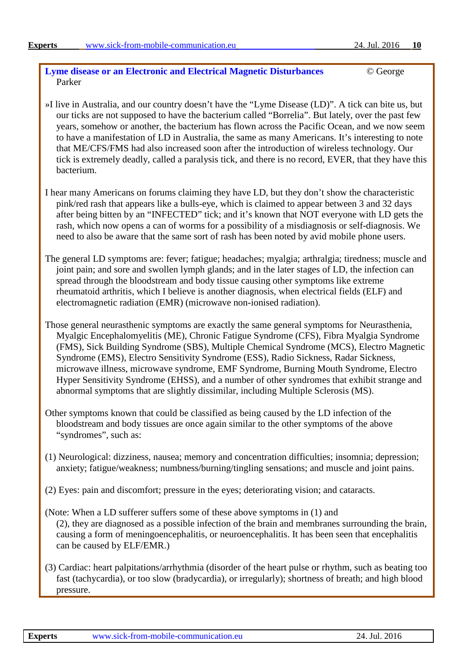# <span id="page-9-0"></span>**[Lyme disease or an Electronic and Electrical Magnetic Disturbances](https://www.facebook.com/groups/168893473164462/permalink/929648787088923/)** © George Parker

»I live in Australia, and our country doesn't have the "Lyme Disease (LD)". A tick can bite us, but our ticks are not supposed to have the bacterium called "Borrelia". But lately, over the past few years, somehow or another, the bacterium has flown across the Pacific Ocean, and we now seem to have a manifestation of LD in Australia, the same as many Americans. It's interesting to note that ME/CFS/FMS had also increased soon after the introduction of wireless technology. Our tick is extremely deadly, called a paralysis tick, and there is no record, EVER, that they have this bacterium.

I hear many Americans on forums claiming they have LD, but they don't show the characteristic pink/red rash that appears like a bulls-eye, which is claimed to appear between 3 and 32 days after being bitten by an "INFECTED" tick; and it's known that NOT everyone with LD gets the rash, which now opens a can of worms for a possibility of a misdiagnosis or self-diagnosis. We need to also be aware that the same sort of rash has been noted by avid mobile phone users.

The general LD symptoms are: fever; fatigue; headaches; myalgia; arthralgia; tiredness; muscle and joint pain; and sore and swollen lymph glands; and in the later stages of LD, the infection can spread through the bloodstream and body tissue causing other symptoms like extreme rheumatoid arthritis, which I believe is another diagnosis, when electrical fields (ELF) and electromagnetic radiation (EMR) (microwave non-ionised radiation).

Those general neurasthenic symptoms are exactly the same general symptoms for Neurasthenia, Myalgic Encephalomyelitis (ME), Chronic Fatigue Syndrome (CFS), Fibra Myalgia Syndrome (FMS), Sick Building Syndrome (SBS), Multiple Chemical Syndrome (MCS), Electro Magnetic Syndrome (EMS), Electro Sensitivity Syndrome (ESS), Radio Sickness, Radar Sickness, microwave illness, microwave syndrome, EMF Syndrome, Burning Mouth Syndrome, Electro Hyper Sensitivity Syndrome (EHSS), and a number of other syndromes that exhibit strange and abnormal symptoms that are slightly dissimilar, including Multiple Sclerosis (MS).

Other symptoms known that could be classified as being caused by the LD infection of the bloodstream and body tissues are once again similar to the other symptoms of the above "syndromes", such as:

(1) Neurological: dizziness, nausea; memory and concentration difficulties; insomnia; depression; anxiety; fatigue/weakness; numbness/burning/tingling sensations; and muscle and joint pains.

(2) Eyes: pain and discomfort; pressure in the eyes; deteriorating vision; and cataracts.

(Note: When a LD sufferer suffers some of these above symptoms in (1) and (2), they are diagnosed as a possible infection of the brain and membranes surrounding the brain, causing a form of meningoencephalitis, or neuroencephalitis. It has been seen that encephalitis can be caused by ELF/EMR.)

(3) Cardiac: heart palpitations/arrhythmia (disorder of the heart pulse or rhythm, such as beating too fast (tachycardia), or too slow (bradycardia), or irregularly); shortness of breath; and high blood pressure.